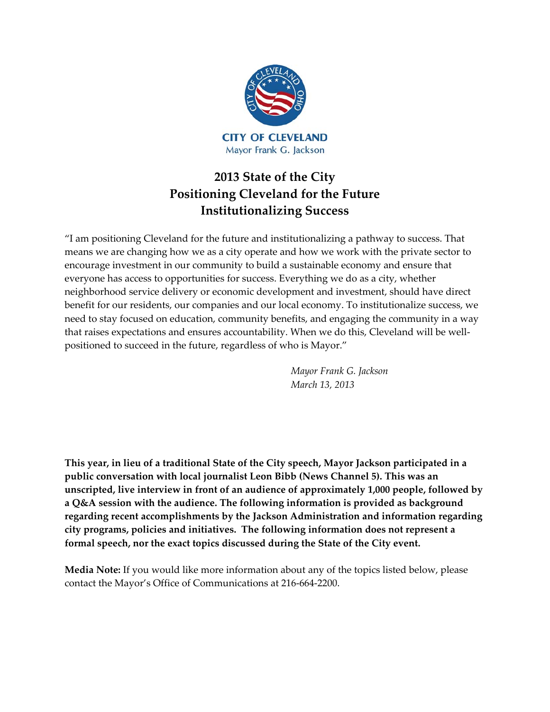

# **2013 State of the City Positioning Cleveland for the Future Institutionalizing Success**

"I am positioning Cleveland for the future and institutionalizing a pathway to success. That means we are changing how we as a city operate and how we work with the private sector to encourage investment in our community to build a sustainable economy and ensure that everyone has access to opportunities for success. Everything we do as a city, whether neighborhood service delivery or economic development and investment, should have direct benefit for our residents, our companies and our local economy. To institutionalize success, we need to stay focused on education, community benefits, and engaging the community in a way that raises expectations and ensures accountability. When we do this, Cleveland will be well‐ positioned to succeed in the future, regardless of who is Mayor."

> *Mayor Frank G. Jackson March 13, 2013*

**This year, in lieu of a traditional State of the City speech, Mayor Jackson participated in a public conversation with local journalist Leon Bibb (News Channel 5). This was an unscripted, live interview in front of an audience of approximately 1,000 people, followed by a Q&A session with the audience. The following information is provided as background regarding recent accomplishments by the Jackson Administration and information regarding city programs, policies and initiatives. The following information does not represent a formal speech, nor the exact topics discussed during the State of the City event.** 

**Media Note:** If you would like more information about any of the topics listed below, please contact the Mayor's Office of Communications at 216‐664‐2200.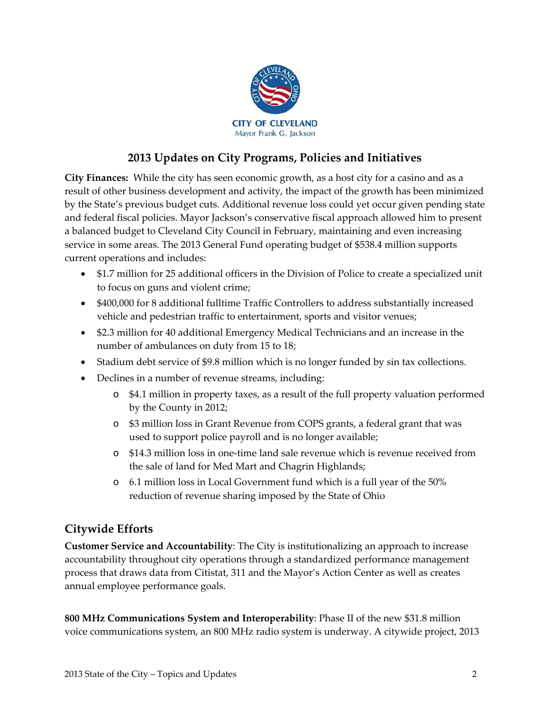

### **2013 Updates on City Programs, Policies and Initiatives**

**City Finances:** While the city has seen economic growth, as a host city for a casino and as a result of other business development and activity, the impact of the growth has been minimized by the State's previous budget cuts. Additional revenue loss could yet occur given pending state and federal fiscal policies. Mayor Jackson's conservative fiscal approach allowed him to present a balanced budget to Cleveland City Council in February, maintaining and even increasing service in some areas. The 2013 General Fund operating budget of \$538.4 million supports current operations and includes:

- \$1.7 million for 25 additional officers in the Division of Police to create a specialized unit to focus on guns and violent crime;
- \$400,000 for 8 additional fulltime Traffic Controllers to address substantially increased vehicle and pedestrian traffic to entertainment, sports and visitor venues;
- \$2.3 million for 40 additional Emergency Medical Technicians and an increase in the number of ambulances on duty from 15 to 18;
- Stadium debt service of \$9.8 million which is no longer funded by sin tax collections.
- Declines in a number of revenue streams, including:
	- o \$4.1 million in property taxes, as a result of the full property valuation performed by the County in 2012;
	- o \$3 million loss in Grant Revenue from COPS grants, a federal grant that was used to support police payroll and is no longer available;
	- o \$14.3 million loss in one‐time land sale revenue which is revenue received from the sale of land for Med Mart and Chagrin Highlands;
	- o 6.1 million loss in Local Government fund which is a full year of the 50% reduction of revenue sharing imposed by the State of Ohio

# **Citywide Efforts**

**Customer Service and Accountability**: The City is institutionalizing an approach to increase accountability throughout city operations through a standardized performance management process that draws data from Citistat, 311 and the Mayor's Action Center as well as creates annual employee performance goals.

**800 MHz Communications System and Interoperability**: Phase II of the new \$31.8 million voice communications system, an 800 MHz radio system is underway. A citywide project, 2013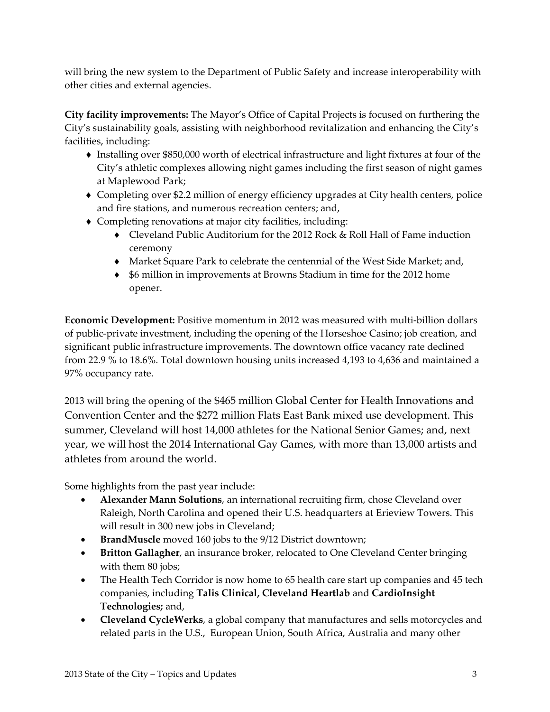will bring the new system to the Department of Public Safety and increase interoperability with other cities and external agencies.

**City facility improvements:** The Mayor's Office of Capital Projects is focused on furthering the City's sustainability goals, assisting with neighborhood revitalization and enhancing the City's facilities, including:

- ♦ Installing over \$850,000 worth of electrical infrastructure and light fixtures at four of the City's athletic complexes allowing night games including the first season of night games at Maplewood Park;
- ♦ Completing over \$2.2 million of energy efficiency upgrades at City health centers, police and fire stations, and numerous recreation centers; and,
- ♦ Completing renovations at major city facilities, including:
	- ♦ Cleveland Public Auditorium for the 2012 Rock & Roll Hall of Fame induction ceremony
	- ♦ Market Square Park to celebrate the centennial of the West Side Market; and,
	- ♦ \$6 million in improvements at Browns Stadium in time for the 2012 home opener.

**Economic Development:** Positive momentum in 2012 was measured with multi-billion dollars of public‐private investment, including the opening of the Horseshoe Casino; job creation, and significant public infrastructure improvements. The downtown office vacancy rate declined from 22.9 % to 18.6%. Total downtown housing units increased 4,193 to 4,636 and maintained a 97% occupancy rate.

2013 will bring the opening of the \$465 million Global Center for Health Innovations and Convention Center and the \$272 million Flats East Bank mixed use development. This summer, Cleveland will host 14,000 athletes for the National Senior Games; and, next year, we will host the 2014 International Gay Games, with more than 13,000 artists and athletes from around the world.

Some highlights from the past year include:

- **Alexander Mann Solutions**, an international recruiting firm, chose Cleveland over Raleigh, North Carolina and opened their U.S. headquarters at Erieview Towers. This will result in 300 new jobs in Cleveland;
- **BrandMuscle** moved 160 jobs to the 9/12 District downtown;
- **Britton Gallagher**, an insurance broker, relocated to One Cleveland Center bringing with them 80 jobs;
- The Health Tech Corridor is now home to 65 health care start up companies and 45 tech companies, including **Talis Clinical, Cleveland Heartlab** and **CardioInsight Technologies;** and,
- **Cleveland CycleWerks**, a global company that manufactures and sells motorcycles and related parts in the U.S., European Union, South Africa, Australia and many other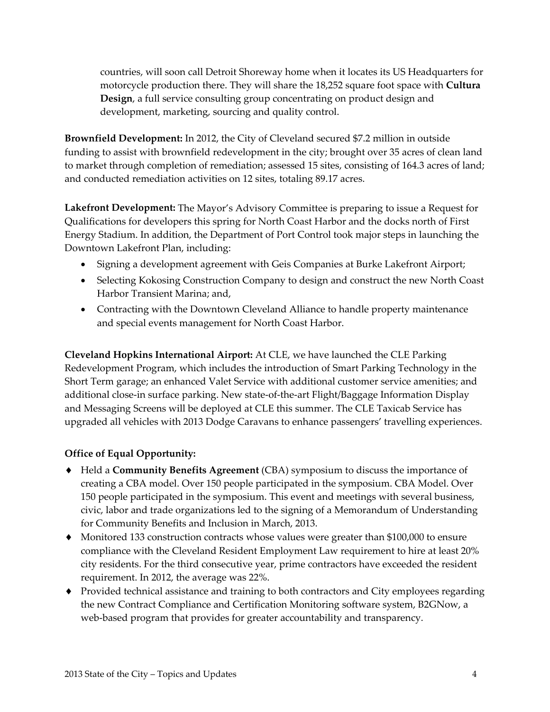countries, will soon call Detroit Shoreway home when it locates its US Headquarters for motorcycle production there. They will share the 18,252 square foot space with **Cultura Design**, a full service consulting group concentrating on product design and development, marketing, sourcing and quality control.

**Brownfield Development:** In 2012, the City of Cleveland secured \$7.2 million in outside funding to assist with brownfield redevelopment in the city; brought over 35 acres of clean land to market through completion of remediation; assessed 15 sites, consisting of 164.3 acres of land; and conducted remediation activities on 12 sites, totaling 89.17 acres.

**Lakefront Development:** The Mayor's Advisory Committee is preparing to issue a Request for Qualifications for developers this spring for North Coast Harbor and the docks north of First Energy Stadium. In addition, the Department of Port Control took major steps in launching the Downtown Lakefront Plan, including:

- Signing a development agreement with Geis Companies at Burke Lakefront Airport;
- Selecting Kokosing Construction Company to design and construct the new North Coast Harbor Transient Marina; and,
- Contracting with the Downtown Cleveland Alliance to handle property maintenance and special events management for North Coast Harbor.

**Cleveland Hopkins International Airport:** At CLE, we have launched the CLE Parking Redevelopment Program, which includes the introduction of Smart Parking Technology in the Short Term garage; an enhanced Valet Service with additional customer service amenities; and additional close‐in surface parking. New state‐of‐the‐art Flight/Baggage Information Display and Messaging Screens will be deployed at CLE this summer. The CLE Taxicab Service has upgraded all vehicles with 2013 Dodge Caravans to enhance passengers' travelling experiences.

### **Office of Equal Opportunity:**

- ♦ Held a **Community Benefits Agreement** (CBA) symposium to discuss the importance of creating a CBA model. Over 150 people participated in the symposium. CBA Model. Over 150 people participated in the symposium. This event and meetings with several business, civic, labor and trade organizations led to the signing of a Memorandum of Understanding for Community Benefits and Inclusion in March, 2013.
- ♦ Monitored 133 construction contracts whose values were greater than \$100,000 to ensure compliance with the Cleveland Resident Employment Law requirement to hire at least 20% city residents. For the third consecutive year, prime contractors have exceeded the resident requirement. In 2012, the average was 22%.
- ♦ Provided technical assistance and training to both contractors and City employees regarding the new Contract Compliance and Certification Monitoring software system, B2GNow, a web-based program that provides for greater accountability and transparency.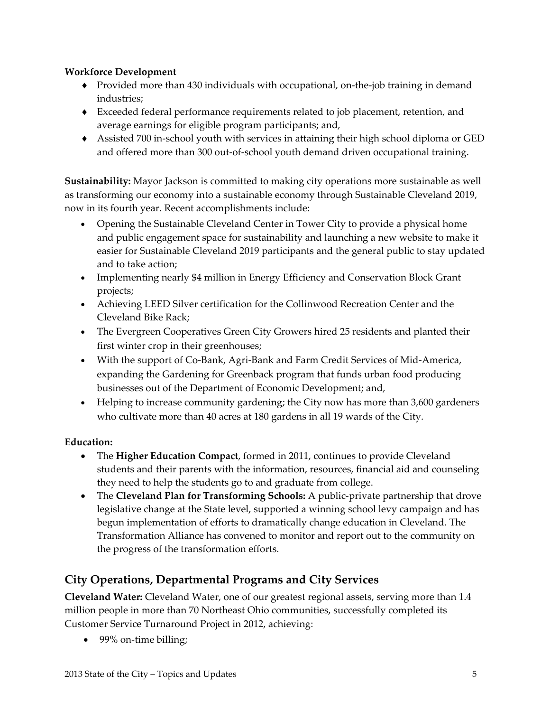### **Workforce Development**

- ◆ Provided more than 430 individuals with occupational, on-the-job training in demand industries;
- ♦ Exceeded federal performance requirements related to job placement, retention, and average earnings for eligible program participants; and,
- ♦ Assisted 700 in‐school youth with services in attaining their high school diploma or GED and offered more than 300 out‐of‐school youth demand driven occupational training.

**Sustainability:** Mayor Jackson is committed to making city operations more sustainable as well as transforming our economy into a sustainable economy through Sustainable Cleveland 2019, now in its fourth year. Recent accomplishments include:

- Opening the Sustainable Cleveland Center in Tower City to provide a physical home and public engagement space for sustainability and launching a new website to make it easier for Sustainable Cleveland 2019 participants and the general public to stay updated and to take action;
- Implementing nearly \$4 million in Energy Efficiency and Conservation Block Grant projects;
- Achieving LEED Silver certification for the Collinwood Recreation Center and the Cleveland Bike Rack;
- The Evergreen Cooperatives Green City Growers hired 25 residents and planted their first winter crop in their greenhouses;
- With the support of Co‐Bank, Agri‐Bank and Farm Credit Services of Mid‐America, expanding the Gardening for Greenback program that funds urban food producing businesses out of the Department of Economic Development; and,
- Helping to increase community gardening; the City now has more than 3,600 gardeners who cultivate more than 40 acres at 180 gardens in all 19 wards of the City.

### **Education:**

- The **Higher Education Compact**, formed in 2011, continues to provide Cleveland students and their parents with the information, resources, financial aid and counseling they need to help the students go to and graduate from college.
- The **Cleveland Plan for Transforming Schools:** A public‐private partnership that drove legislative change at the State level, supported a winning school levy campaign and has begun implementation of efforts to dramatically change education in Cleveland. The Transformation Alliance has convened to monitor and report out to the community on the progress of the transformation efforts.

# **City Operations, Departmental Programs and City Services**

**Cleveland Water:** Cleveland Water, one of our greatest regional assets, serving more than 1.4 million people in more than 70 Northeast Ohio communities, successfully completed its Customer Service Turnaround Project in 2012, achieving:

• 99% on-time billing;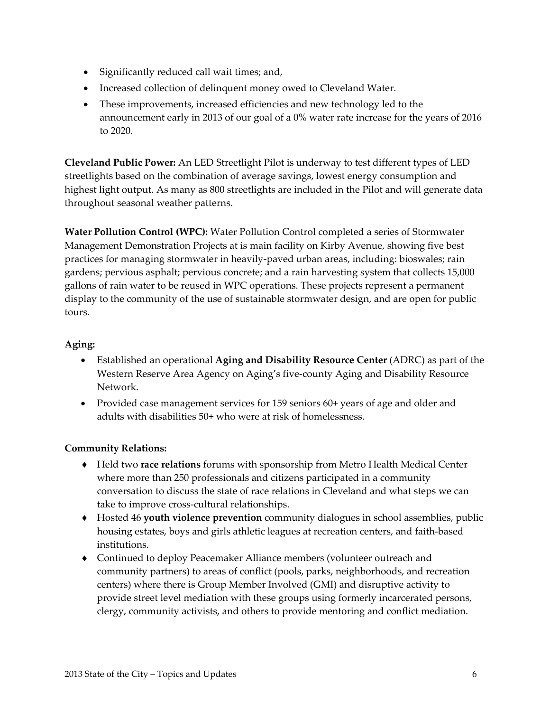- Significantly reduced call wait times; and,
- Increased collection of delinquent money owed to Cleveland Water.
- These improvements, increased efficiencies and new technology led to the announcement early in 2013 of our goal of a 0% water rate increase for the years of 2016 to 2020.

**Cleveland Public Power:** An LED Streetlight Pilot is underway to test different types of LED streetlights based on the combination of average savings, lowest energy consumption and highest light output. As many as 800 streetlights are included in the Pilot and will generate data throughout seasonal weather patterns.

**Water Pollution Control (WPC):** Water Pollution Control completed a series of Stormwater Management Demonstration Projects at is main facility on Kirby Avenue, showing five best practices for managing stormwater in heavily‐paved urban areas, including: bioswales; rain gardens; pervious asphalt; pervious concrete; and a rain harvesting system that collects 15,000 gallons of rain water to be reused in WPC operations. These projects represent a permanent display to the community of the use of sustainable stormwater design, and are open for public tours.

### **Aging:**

- Established an operational **Aging and Disability Resource Center** (ADRC) as part of the Western Reserve Area Agency on Aging's five‐county Aging and Disability Resource Network.
- Provided case management services for 159 seniors 60+ years of age and older and adults with disabilities 50+ who were at risk of homelessness.

### **Community Relations:**

- ♦ Held two **race relations** forums with sponsorship from Metro Health Medical Center where more than 250 professionals and citizens participated in a community conversation to discuss the state of race relations in Cleveland and what steps we can take to improve cross‐cultural relationships.
- ♦ Hosted 46 **youth violence prevention** community dialogues in school assemblies, public housing estates, boys and girls athletic leagues at recreation centers, and faith‐based institutions.
- ♦ Continued to deploy Peacemaker Alliance members (volunteer outreach and community partners) to areas of conflict (pools, parks, neighborhoods, and recreation centers) where there is Group Member Involved (GMI) and disruptive activity to provide street level mediation with these groups using formerly incarcerated persons, clergy, community activists, and others to provide mentoring and conflict mediation.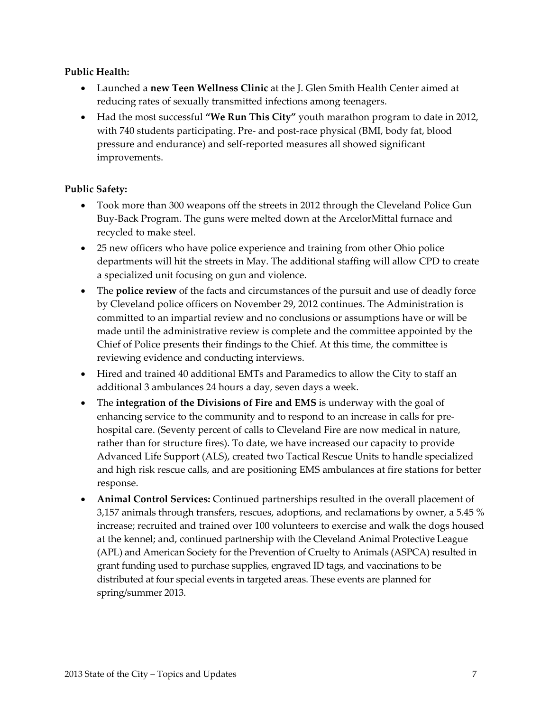#### **Public Health:**

- Launched a **new Teen Wellness Clinic** at the J. Glen Smith Health Center aimed at reducing rates of sexually transmitted infections among teenagers.
- Had the most successful **"We Run This City"** youth marathon program to date in 2012, with 740 students participating. Pre- and post-race physical (BMI, body fat, blood pressure and endurance) and self‐reported measures all showed significant improvements.

#### **Public Safety:**

- Took more than 300 weapons off the streets in 2012 through the Cleveland Police Gun Buy‐Back Program. The guns were melted down at the ArcelorMittal furnace and recycled to make steel.
- 25 new officers who have police experience and training from other Ohio police departments will hit the streets in May. The additional staffing will allow CPD to create a specialized unit focusing on gun and violence.
- The **police review** of the facts and circumstances of the pursuit and use of deadly force by Cleveland police officers on November 29, 2012 continues. The Administration is committed to an impartial review and no conclusions or assumptions have or will be made until the administrative review is complete and the committee appointed by the Chief of Police presents their findings to the Chief. At this time, the committee is reviewing evidence and conducting interviews.
- Hired and trained 40 additional EMTs and Paramedics to allow the City to staff an additional 3 ambulances 24 hours a day, seven days a week.
- The **integration of the Divisions of Fire and EMS** is underway with the goal of enhancing service to the community and to respond to an increase in calls for prehospital care. (Seventy percent of calls to Cleveland Fire are now medical in nature, rather than for structure fires). To date, we have increased our capacity to provide Advanced Life Support (ALS), created two Tactical Rescue Units to handle specialized and high risk rescue calls, and are positioning EMS ambulances at fire stations for better response.
- **Animal Control Services:** Continued partnerships resulted in the overall placement of 3,157 animals through transfers, rescues, adoptions, and reclamations by owner, a 5.45 % increase; recruited and trained over 100 volunteers to exercise and walk the dogs housed at the kennel; and, continued partnership with the Cleveland Animal Protective League (APL) and American Society for the Prevention of Cruelty to Animals (ASPCA) resulted in grant funding used to purchase supplies, engraved ID tags, and vaccinations to be distributed at four special events in targeted areas. These events are planned for spring/summer 2013.